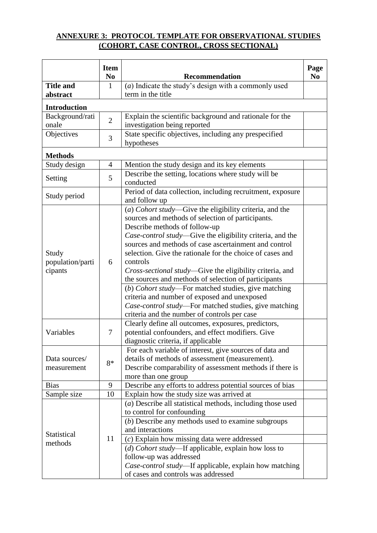## **ANNEXURE 3: PROTOCOL TEMPLATE FOR OBSERVATIONAL STUDIES (COHORT, CASE CONTROL, CROSS SECTIONAL)**

|                                                                                   | <b>Item</b><br>N <sub>0</sub> | <b>Recommendation</b>                                                                                                                                                                                                                                                                                                                                                                                                                                                                                                                                                                                                                                                                                                                                                                                                                                                                                                                                                                                        | Page<br>N <sub>0</sub> |  |  |
|-----------------------------------------------------------------------------------|-------------------------------|--------------------------------------------------------------------------------------------------------------------------------------------------------------------------------------------------------------------------------------------------------------------------------------------------------------------------------------------------------------------------------------------------------------------------------------------------------------------------------------------------------------------------------------------------------------------------------------------------------------------------------------------------------------------------------------------------------------------------------------------------------------------------------------------------------------------------------------------------------------------------------------------------------------------------------------------------------------------------------------------------------------|------------------------|--|--|
| <b>Title and</b>                                                                  | 1                             | $(a)$ Indicate the study's design with a commonly used                                                                                                                                                                                                                                                                                                                                                                                                                                                                                                                                                                                                                                                                                                                                                                                                                                                                                                                                                       |                        |  |  |
| abstract                                                                          |                               | term in the title                                                                                                                                                                                                                                                                                                                                                                                                                                                                                                                                                                                                                                                                                                                                                                                                                                                                                                                                                                                            |                        |  |  |
| <b>Introduction</b>                                                               |                               |                                                                                                                                                                                                                                                                                                                                                                                                                                                                                                                                                                                                                                                                                                                                                                                                                                                                                                                                                                                                              |                        |  |  |
| Background/rati                                                                   | $\overline{2}$                | Explain the scientific background and rationale for the                                                                                                                                                                                                                                                                                                                                                                                                                                                                                                                                                                                                                                                                                                                                                                                                                                                                                                                                                      |                        |  |  |
| onale                                                                             |                               | investigation being reported                                                                                                                                                                                                                                                                                                                                                                                                                                                                                                                                                                                                                                                                                                                                                                                                                                                                                                                                                                                 |                        |  |  |
| Objectives                                                                        | 3                             | State specific objectives, including any prespecified<br>hypotheses                                                                                                                                                                                                                                                                                                                                                                                                                                                                                                                                                                                                                                                                                                                                                                                                                                                                                                                                          |                        |  |  |
| <b>Methods</b>                                                                    |                               |                                                                                                                                                                                                                                                                                                                                                                                                                                                                                                                                                                                                                                                                                                                                                                                                                                                                                                                                                                                                              |                        |  |  |
| Study design                                                                      | 4                             | Mention the study design and its key elements                                                                                                                                                                                                                                                                                                                                                                                                                                                                                                                                                                                                                                                                                                                                                                                                                                                                                                                                                                |                        |  |  |
| Setting                                                                           | 5                             | Describe the setting, locations where study will be<br>conducted                                                                                                                                                                                                                                                                                                                                                                                                                                                                                                                                                                                                                                                                                                                                                                                                                                                                                                                                             |                        |  |  |
| Study period                                                                      |                               | Period of data collection, including recruitment, exposure<br>and follow up                                                                                                                                                                                                                                                                                                                                                                                                                                                                                                                                                                                                                                                                                                                                                                                                                                                                                                                                  |                        |  |  |
| Study<br>population/parti<br>cipants<br>Variables<br>Data sources/<br>measurement | 6<br>7<br>$8*$                | (a) Cohort study-Give the eligibility criteria, and the<br>sources and methods of selection of participants.<br>Describe methods of follow-up<br>Case-control study—Give the eligibility criteria, and the<br>sources and methods of case ascertainment and control<br>selection. Give the rationale for the choice of cases and<br>controls<br>Cross-sectional study—Give the eligibility criteria, and<br>the sources and methods of selection of participants<br>(b) Cohort study—For matched studies, give matching<br>criteria and number of exposed and unexposed<br>Case-control study-For matched studies, give matching<br>criteria and the number of controls per case<br>Clearly define all outcomes, exposures, predictors,<br>potential confounders, and effect modifiers. Give<br>diagnostic criteria, if applicable<br>For each variable of interest, give sources of data and<br>details of methods of assessment (measurement).<br>Describe comparability of assessment methods if there is |                        |  |  |
|                                                                                   |                               | more than one group                                                                                                                                                                                                                                                                                                                                                                                                                                                                                                                                                                                                                                                                                                                                                                                                                                                                                                                                                                                          |                        |  |  |
| <b>Bias</b>                                                                       | 9                             | Describe any efforts to address potential sources of bias                                                                                                                                                                                                                                                                                                                                                                                                                                                                                                                                                                                                                                                                                                                                                                                                                                                                                                                                                    |                        |  |  |
| Sample size                                                                       | 10                            | Explain how the study size was arrived at                                                                                                                                                                                                                                                                                                                                                                                                                                                                                                                                                                                                                                                                                                                                                                                                                                                                                                                                                                    |                        |  |  |
|                                                                                   |                               | $(a)$ Describe all statistical methods, including those used                                                                                                                                                                                                                                                                                                                                                                                                                                                                                                                                                                                                                                                                                                                                                                                                                                                                                                                                                 |                        |  |  |
|                                                                                   |                               | to control for confounding                                                                                                                                                                                                                                                                                                                                                                                                                                                                                                                                                                                                                                                                                                                                                                                                                                                                                                                                                                                   |                        |  |  |
|                                                                                   |                               | (b) Describe any methods used to examine subgroups                                                                                                                                                                                                                                                                                                                                                                                                                                                                                                                                                                                                                                                                                                                                                                                                                                                                                                                                                           |                        |  |  |
|                                                                                   |                               | and interactions                                                                                                                                                                                                                                                                                                                                                                                                                                                                                                                                                                                                                                                                                                                                                                                                                                                                                                                                                                                             |                        |  |  |
| Statistical                                                                       | 11                            | $(c)$ Explain how missing data were addressed                                                                                                                                                                                                                                                                                                                                                                                                                                                                                                                                                                                                                                                                                                                                                                                                                                                                                                                                                                |                        |  |  |
| methods                                                                           |                               | (d) Cohort study—If applicable, explain how loss to                                                                                                                                                                                                                                                                                                                                                                                                                                                                                                                                                                                                                                                                                                                                                                                                                                                                                                                                                          |                        |  |  |
|                                                                                   |                               | follow-up was addressed                                                                                                                                                                                                                                                                                                                                                                                                                                                                                                                                                                                                                                                                                                                                                                                                                                                                                                                                                                                      |                        |  |  |
|                                                                                   |                               | Case-control study—If applicable, explain how matching                                                                                                                                                                                                                                                                                                                                                                                                                                                                                                                                                                                                                                                                                                                                                                                                                                                                                                                                                       |                        |  |  |
|                                                                                   |                               | of cases and controls was addressed                                                                                                                                                                                                                                                                                                                                                                                                                                                                                                                                                                                                                                                                                                                                                                                                                                                                                                                                                                          |                        |  |  |